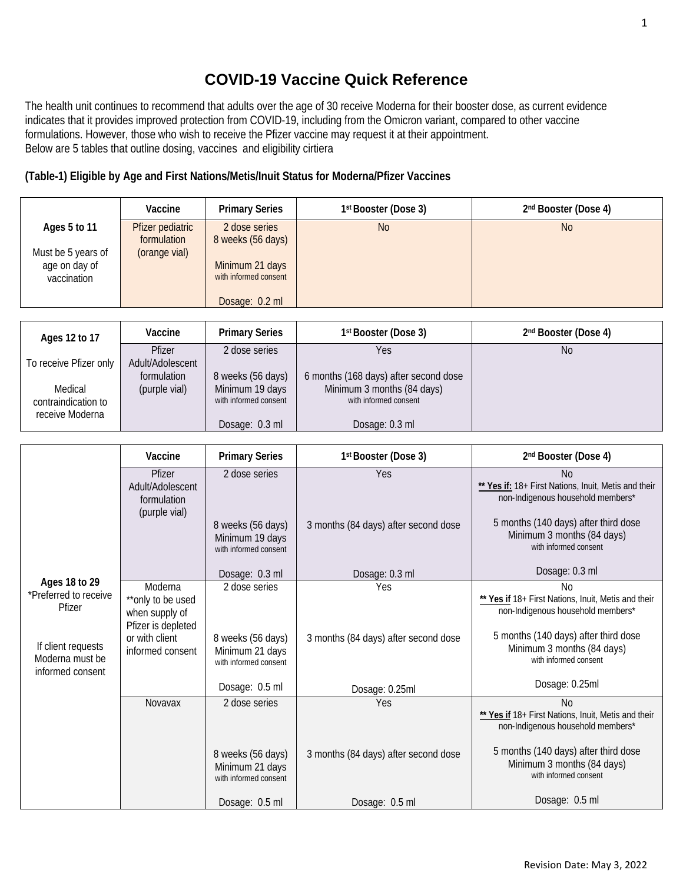# **COVID-19 Vaccine Quick Reference**

The health unit continues to recommend that adults over the age of 30 receive Moderna for their booster dose, as current evidence indicates that it provides improved protection from COVID-19, including from the Omicron variant, compared to other vaccine formulations. However, those who wish to receive the Pfizer vaccine may request it at their appointment. Below are 5 tables that outline dosing, vaccines and eligibility cirtiera

## **(Table-1) Eligible by Age and First Nations/Metis/Inuit Status for Moderna/Pfizer Vaccines**

|                                                     | Vaccine                                          | <b>Primary Series</b>                                 | 1 <sup>st</sup> Booster (Dose 3) | 2 <sup>nd</sup> Booster (Dose 4) |
|-----------------------------------------------------|--------------------------------------------------|-------------------------------------------------------|----------------------------------|----------------------------------|
| Ages 5 to 11<br>Must be 5 years of<br>age on day of | Pfizer pediatric<br>formulation<br>(orange vial) | 2 dose series<br>8 weeks (56 days)<br>Minimum 21 days | N <sub>0</sub>                   | <b>No</b>                        |
| vaccination                                         |                                                  | with informed consent<br>Dosage: 0.2 ml               |                                  |                                  |

| Ages 12 to 17          | Vaccine          | <b>Primary Series</b> | 1 <sup>st</sup> Booster (Dose 3)      | 2 <sup>nd</sup> Booster (Dose 4) |
|------------------------|------------------|-----------------------|---------------------------------------|----------------------------------|
|                        | Pfizer           | 2 dose series         | Yes                                   | <b>No</b>                        |
| To receive Pfizer only | Adult/Adolescent |                       |                                       |                                  |
|                        | formulation      | 8 weeks (56 days)     | 6 months (168 days) after second dose |                                  |
| Medical                | (purple vial)    | Minimum 19 days       | Minimum 3 months (84 days)            |                                  |
| contraindication to    |                  | with informed consent | with informed consent                 |                                  |
| receive Moderna        |                  |                       |                                       |                                  |
|                        |                  | Dosage: 0.3 ml        | Dosage: 0.3 ml                        |                                  |

|                                                                     | Vaccine                                                                                         | <b>Primary Series</b>                                                          | 1st Booster (Dose 3)                        | 2nd Booster (Dose 4)                                                                                                                                                                                  |
|---------------------------------------------------------------------|-------------------------------------------------------------------------------------------------|--------------------------------------------------------------------------------|---------------------------------------------|-------------------------------------------------------------------------------------------------------------------------------------------------------------------------------------------------------|
|                                                                     | Pfizer<br>Adult/Adolescent<br>formulation<br>(purple vial)                                      | 2 dose series<br>8 weeks (56 days)<br>Minimum 19 days<br>with informed consent | Yes<br>3 months (84 days) after second dose | <b>No</b><br>** Yes if: 18+ First Nations, Inuit, Metis and their<br>non-Indigenous household members*<br>5 months (140 days) after third dose<br>Minimum 3 months (84 days)<br>with informed consent |
|                                                                     |                                                                                                 | Dosage: 0.3 ml                                                                 | Dosage: 0.3 ml                              | Dosage: 0.3 ml                                                                                                                                                                                        |
| Ages 18 to 29<br>*Preferred to receive                              | Moderna                                                                                         | 2 dose series                                                                  | Yes                                         | No                                                                                                                                                                                                    |
| Pfizer<br>If client requests<br>Moderna must be<br>informed consent | **only to be used<br>when supply of<br>Pfizer is depleted<br>or with client<br>informed consent | 8 weeks (56 days)<br>Minimum 21 days<br>with informed consent                  | 3 months (84 days) after second dose        | ** Yes if 18+ First Nations, Inuit, Metis and their<br>non-Indigenous household members*<br>5 months (140 days) after third dose<br>Minimum 3 months (84 days)<br>with informed consent               |
|                                                                     |                                                                                                 | Dosage: 0.5 ml                                                                 | Dosage: 0.25ml                              | Dosage: 0.25ml                                                                                                                                                                                        |
|                                                                     | Novavax                                                                                         | 2 dose series                                                                  | Yes                                         | <b>No</b><br>** Yes if 18+ First Nations, Inuit, Metis and their<br>non-Indigenous household members*<br>5 months (140 days) after third dose                                                         |
|                                                                     |                                                                                                 | 8 weeks (56 days)<br>Minimum 21 days<br>with informed consent                  | 3 months (84 days) after second dose        | Minimum 3 months (84 days)<br>with informed consent<br>Dosage: 0.5 ml                                                                                                                                 |
|                                                                     |                                                                                                 | Dosage: 0.5 ml                                                                 | Dosage: 0.5 ml                              |                                                                                                                                                                                                       |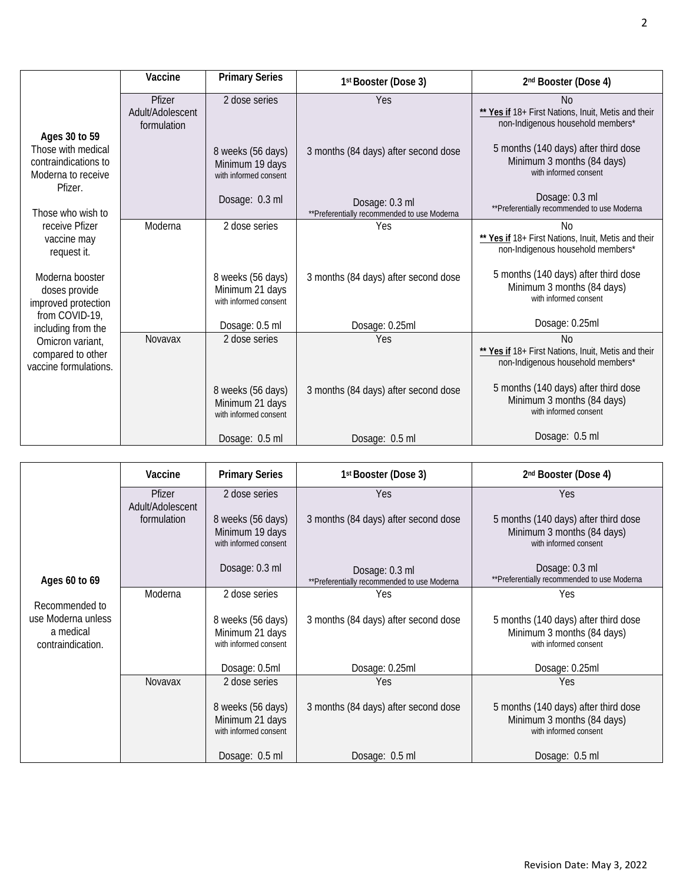|                                                                                              | Vaccine                                   | <b>Primary Series</b>                                         | 1st Booster (Dose 3)                                           | 2 <sup>nd</sup> Booster (Dose 4)                                                                           |
|----------------------------------------------------------------------------------------------|-------------------------------------------|---------------------------------------------------------------|----------------------------------------------------------------|------------------------------------------------------------------------------------------------------------|
|                                                                                              | Pfizer<br>Adult/Adolescent<br>formulation | 2 dose series                                                 | Yes                                                            | N <sub>0</sub><br>** Yes if 18+ First Nations, Inuit, Metis and their<br>non-Indigenous household members* |
| Ages 30 to 59<br>Those with medical<br>contraindications to<br>Moderna to receive<br>Pfizer. |                                           | 8 weeks (56 days)<br>Minimum 19 days<br>with informed consent | 3 months (84 days) after second dose                           | 5 months (140 days) after third dose<br>Minimum 3 months (84 days)<br>with informed consent                |
| Those who wish to                                                                            |                                           | Dosage: 0.3 ml                                                | Dosage: 0.3 ml<br>** Preferentially recommended to use Moderna | Dosage: 0.3 ml<br>**Preferentially recommended to use Moderna                                              |
| receive Pfizer<br>vaccine may<br>request it.                                                 | Moderna                                   | 2 dose series                                                 | Yes                                                            | Nο<br>** Yes if 18+ First Nations, Inuit, Metis and their<br>non-Indigenous household members*             |
| Moderna booster<br>doses provide<br>improved protection                                      |                                           | 8 weeks (56 days)<br>Minimum 21 days<br>with informed consent | 3 months (84 days) after second dose                           | 5 months (140 days) after third dose<br>Minimum 3 months (84 days)<br>with informed consent                |
| from COVID-19,<br>including from the                                                         |                                           | Dosage: 0.5 ml                                                | Dosage: 0.25ml                                                 | Dosage: 0.25ml                                                                                             |
| Omicron variant,<br>compared to other<br>vaccine formulations.                               | Novavax                                   | 2 dose series                                                 | Yes                                                            | Nο<br>** Yes if 18+ First Nations, Inuit, Metis and their<br>non-Indigenous household members*             |
|                                                                                              |                                           | 8 weeks (56 days)<br>Minimum 21 days<br>with informed consent | 3 months (84 days) after second dose                           | 5 months (140 days) after third dose<br>Minimum 3 months (84 days)<br>with informed consent                |
|                                                                                              |                                           | Dosage: 0.5 ml                                                | Dosage: 0.5 ml                                                 | Dosage: 0.5 ml                                                                                             |

|                                                                        | Vaccine                    | <b>Primary Series</b>                                         | 1 <sup>st</sup> Booster (Dose 3)                               | 2 <sup>nd</sup> Booster (Dose 4)                                                            |
|------------------------------------------------------------------------|----------------------------|---------------------------------------------------------------|----------------------------------------------------------------|---------------------------------------------------------------------------------------------|
|                                                                        | Pfizer<br>Adult/Adolescent | 2 dose series                                                 | Yes                                                            | Yes                                                                                         |
|                                                                        | formulation                | 8 weeks (56 days)<br>Minimum 19 days<br>with informed consent | 3 months (84 days) after second dose                           | 5 months (140 days) after third dose<br>Minimum 3 months (84 days)<br>with informed consent |
| Ages 60 to 69                                                          |                            | Dosage: 0.3 ml                                                | Dosage: 0.3 ml<br>** Preferentially recommended to use Moderna | Dosage: 0.3 ml<br>** Preferentially recommended to use Moderna                              |
|                                                                        | Moderna                    | 2 dose series                                                 | Yes                                                            | Yes                                                                                         |
| Recommended to<br>use Moderna unless<br>a medical<br>contraindication. |                            | 8 weeks (56 days)<br>Minimum 21 days<br>with informed consent | 3 months (84 days) after second dose                           | 5 months (140 days) after third dose<br>Minimum 3 months (84 days)<br>with informed consent |
|                                                                        |                            | Dosage: 0.5ml                                                 | Dosage: 0.25ml                                                 | Dosage: 0.25ml                                                                              |
|                                                                        | <b>Novavax</b>             | 2 dose series                                                 | Yes                                                            | Yes                                                                                         |
|                                                                        |                            | 8 weeks (56 days)<br>Minimum 21 days<br>with informed consent | 3 months (84 days) after second dose                           | 5 months (140 days) after third dose<br>Minimum 3 months (84 days)<br>with informed consent |
|                                                                        |                            | Dosage: 0.5 ml                                                | Dosage: 0.5 ml                                                 | Dosage: 0.5 ml                                                                              |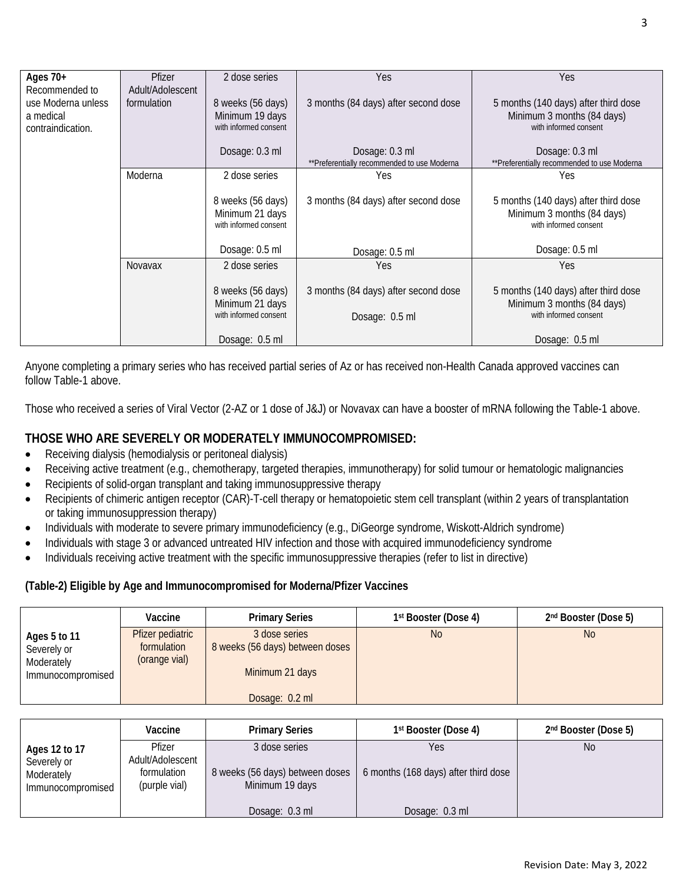| Ages $70+$         | Pfizer           | 2 dose series                            | Yes                                          | Yes                                                 |
|--------------------|------------------|------------------------------------------|----------------------------------------------|-----------------------------------------------------|
| Recommended to     | Adult/Adolescent |                                          |                                              |                                                     |
| use Moderna unless | formulation      | 8 weeks (56 days)                        | 3 months (84 days) after second dose         | 5 months (140 days) after third dose                |
| a medical          |                  | Minimum 19 days                          |                                              | Minimum 3 months (84 days)                          |
| contraindication.  |                  | with informed consent                    |                                              | with informed consent                               |
|                    |                  | Dosage: 0.3 ml                           | Dosage: 0.3 ml                               | Dosage: 0.3 ml                                      |
|                    |                  |                                          | ** Preferentially recommended to use Moderna | **Preferentially recommended to use Moderna         |
|                    | Moderna          | 2 dose series                            | Yes                                          | Yes                                                 |
|                    |                  |                                          |                                              |                                                     |
|                    |                  | 8 weeks (56 days)                        | 3 months (84 days) after second dose         | 5 months (140 days) after third dose                |
|                    |                  | Minimum 21 days<br>with informed consent |                                              | Minimum 3 months (84 days)<br>with informed consent |
|                    |                  |                                          |                                              |                                                     |
|                    |                  | Dosage: 0.5 ml                           | Dosage: 0.5 ml                               | Dosage: 0.5 ml                                      |
|                    | Novavax          | 2 dose series                            | Yes                                          | Yes                                                 |
|                    |                  |                                          |                                              |                                                     |
|                    |                  | 8 weeks (56 days)                        | 3 months (84 days) after second dose         | 5 months (140 days) after third dose                |
|                    |                  | Minimum 21 days<br>with informed consent |                                              | Minimum 3 months (84 days)<br>with informed consent |
|                    |                  |                                          | Dosage: 0.5 ml                               |                                                     |
|                    |                  | Dosage: 0.5 ml                           |                                              | Dosage: 0.5 ml                                      |

Anyone completing a primary series who has received partial series of Az or has received non-Health Canada approved vaccines can follow Table-1 above.

Those who received a series of Viral Vector (2-AZ or 1 dose of J&J) or Novavax can have a booster of mRNA following the Table-1 above.

# **THOSE WHO ARE SEVERELY OR MODERATELY IMMUNOCOMPROMISED:**

- Receiving dialysis (hemodialysis or peritoneal dialysis)
- Receiving active treatment (e.g., chemotherapy, targeted therapies, immunotherapy) for solid tumour or hematologic malignancies
- Recipients of solid-organ transplant and taking immunosuppressive therapy
- Recipients of chimeric antigen receptor (CAR)-T-cell therapy or hematopoietic stem cell transplant (within 2 years of transplantation or taking immunosuppression therapy)
- Individuals with moderate to severe primary immunodeficiency (e.g., DiGeorge syndrome, Wiskott-Aldrich syndrome)
- Individuals with stage 3 or advanced untreated HIV infection and those with acquired immunodeficiency syndrome
- Individuals receiving active treatment with the specific immunosuppressive therapies (refer to list in directive)

#### **(Table-2) Eligible by Age and Immunocompromised for Moderna/Pfizer Vaccines**

|                                                                | Vaccine                                          | <b>Primary Series</b>                                                                 | 1st Booster (Dose 4) | 2nd Booster (Dose 5) |
|----------------------------------------------------------------|--------------------------------------------------|---------------------------------------------------------------------------------------|----------------------|----------------------|
| Ages 5 to 11<br>Severely or<br>Moderately<br>Immunocompromised | Pfizer pediatric<br>formulation<br>(orange vial) | 3 dose series<br>8 weeks (56 days) between doses<br>Minimum 21 days<br>Dosage: 0.2 ml | <b>No</b>            | N <sub>o</sub>       |

|                                                                 | Vaccine                                                    | <b>Primary Series</b>                                               | 1 <sup>st</sup> Booster (Dose 4)            | 2 <sup>nd</sup> Booster (Dose 5) |
|-----------------------------------------------------------------|------------------------------------------------------------|---------------------------------------------------------------------|---------------------------------------------|----------------------------------|
| Ages 12 to 17<br>Severely or<br>Moderately<br>Immunocompromised | Pfizer<br>Adult/Adolescent<br>formulation<br>(purple vial) | 3 dose series<br>8 weeks (56 days) between doses<br>Minimum 19 days | Yes<br>6 months (168 days) after third dose | <b>No</b>                        |
|                                                                 |                                                            | Dosage: 0.3 ml                                                      | Dosage: 0.3 ml                              |                                  |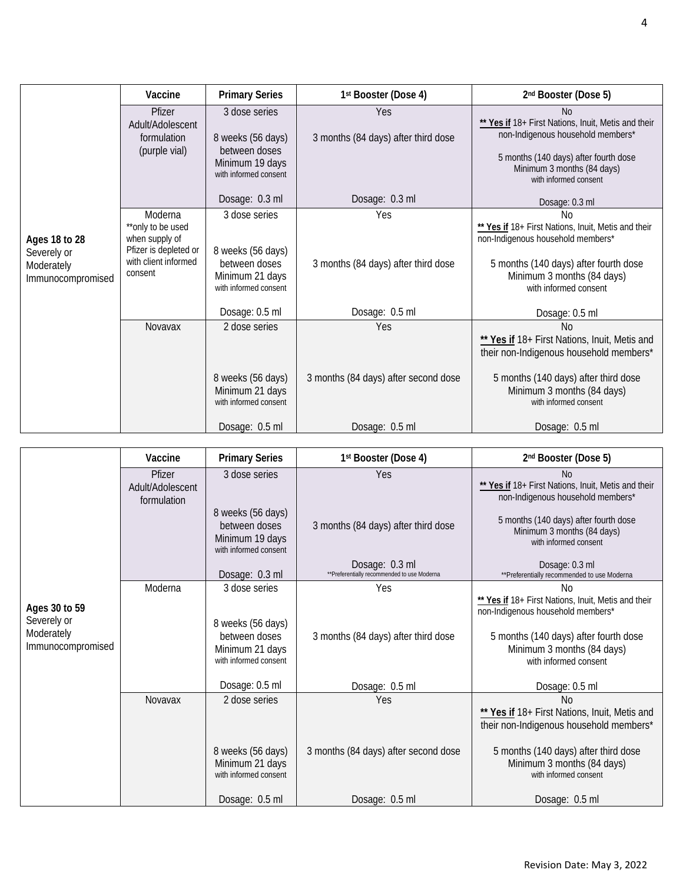|                                                                 | Vaccine                                                                                                    | <b>Primary Series</b>                                                                           | 1st Booster (Dose 4)                       | 2nd Booster (Dose 5)                                                                                                                                                                                       |
|-----------------------------------------------------------------|------------------------------------------------------------------------------------------------------------|-------------------------------------------------------------------------------------------------|--------------------------------------------|------------------------------------------------------------------------------------------------------------------------------------------------------------------------------------------------------------|
|                                                                 | Pfizer<br>Adult/Adolescent<br>formulation<br>(purple vial)                                                 | 3 dose series<br>8 weeks (56 days)<br>between doses<br>Minimum 19 days<br>with informed consent | Yes<br>3 months (84 days) after third dose | <b>No</b><br>** Yes if 18+ First Nations, Inuit, Metis and their<br>non-Indigenous household members*<br>5 months (140 days) after fourth dose<br>Minimum 3 months (84 days)<br>with informed consent      |
|                                                                 |                                                                                                            | Dosage: 0.3 ml                                                                                  | Dosage: 0.3 ml                             | Dosage: 0.3 ml                                                                                                                                                                                             |
| Ages 18 to 28<br>Severely or<br>Moderately<br>Immunocompromised | Moderna<br>**only to be used<br>when supply of<br>Pfizer is depleted or<br>with client informed<br>consent | 3 dose series<br>8 weeks (56 days)<br>between doses<br>Minimum 21 days<br>with informed consent | Yes<br>3 months (84 days) after third dose | N <sub>0</sub><br>** Yes if 18+ First Nations, Inuit, Metis and their<br>non-Indigenous household members*<br>5 months (140 days) after fourth dose<br>Minimum 3 months (84 days)<br>with informed consent |
|                                                                 |                                                                                                            | Dosage: 0.5 ml                                                                                  | Dosage: 0.5 ml                             | Dosage: 0.5 ml                                                                                                                                                                                             |
|                                                                 | <b>Novavax</b>                                                                                             | 2 dose series                                                                                   | Yes                                        | <b>No</b><br>** Yes if 18+ First Nations, Inuit, Metis and<br>their non-Indigenous household members*                                                                                                      |
|                                                                 |                                                                                                            | 8 weeks (56 days)<br>Minimum 21 days<br>with informed consent                                   | 3 months (84 days) after second dose       | 5 months (140 days) after third dose<br>Minimum 3 months (84 days)<br>with informed consent                                                                                                                |
|                                                                 |                                                                                                            | Dosage: 0.5 ml                                                                                  | Dosage: 0.5 ml                             | Dosage: 0.5 ml                                                                                                                                                                                             |

|                                                                 | Vaccine                                   | <b>Primary Series</b>                                                          | 1st Booster (Dose 4)                                          | 2nd Booster (Dose 5)                                                                                                                                                                     |
|-----------------------------------------------------------------|-------------------------------------------|--------------------------------------------------------------------------------|---------------------------------------------------------------|------------------------------------------------------------------------------------------------------------------------------------------------------------------------------------------|
|                                                                 | Pfizer<br>Adult/Adolescent<br>formulation | 3 dose series                                                                  | Yes                                                           | <b>No</b><br>** Yes if 18+ First Nations, Inuit, Metis and their<br>non-Indigenous household members*                                                                                    |
|                                                                 |                                           | 8 weeks (56 days)<br>between doses<br>Minimum 19 days<br>with informed consent | 3 months (84 days) after third dose                           | 5 months (140 days) after fourth dose<br>Minimum 3 months (84 days)<br>with informed consent                                                                                             |
|                                                                 |                                           | Dosage: 0.3 ml                                                                 | Dosage: 0.3 ml<br>**Preferentially recommended to use Moderna | Dosage: 0.3 ml<br>** Preferentially recommended to use Moderna                                                                                                                           |
|                                                                 | Moderna                                   | 3 dose series                                                                  | Yes                                                           | No                                                                                                                                                                                       |
| Ages 30 to 59<br>Severely or<br>Moderately<br>Immunocompromised |                                           | 8 weeks (56 days)<br>between doses<br>Minimum 21 days<br>with informed consent | 3 months (84 days) after third dose                           | ** Yes if 18+ First Nations, Inuit, Metis and their<br>non-Indigenous household members*<br>5 months (140 days) after fourth dose<br>Minimum 3 months (84 days)<br>with informed consent |
|                                                                 |                                           | Dosage: 0.5 ml                                                                 | Dosage: 0.5 ml                                                | Dosage: 0.5 ml                                                                                                                                                                           |
|                                                                 | Novavax                                   | 2 dose series                                                                  | Yes                                                           | N <sub>o</sub><br>** Yes if 18+ First Nations, Inuit, Metis and<br>their non-Indigenous household members*                                                                               |
|                                                                 |                                           | 8 weeks (56 days)<br>Minimum 21 days<br>with informed consent                  | 3 months (84 days) after second dose                          | 5 months (140 days) after third dose<br>Minimum 3 months (84 days)<br>with informed consent                                                                                              |
|                                                                 |                                           | Dosage: 0.5 ml                                                                 | Dosage: 0.5 ml                                                | Dosage: 0.5 ml                                                                                                                                                                           |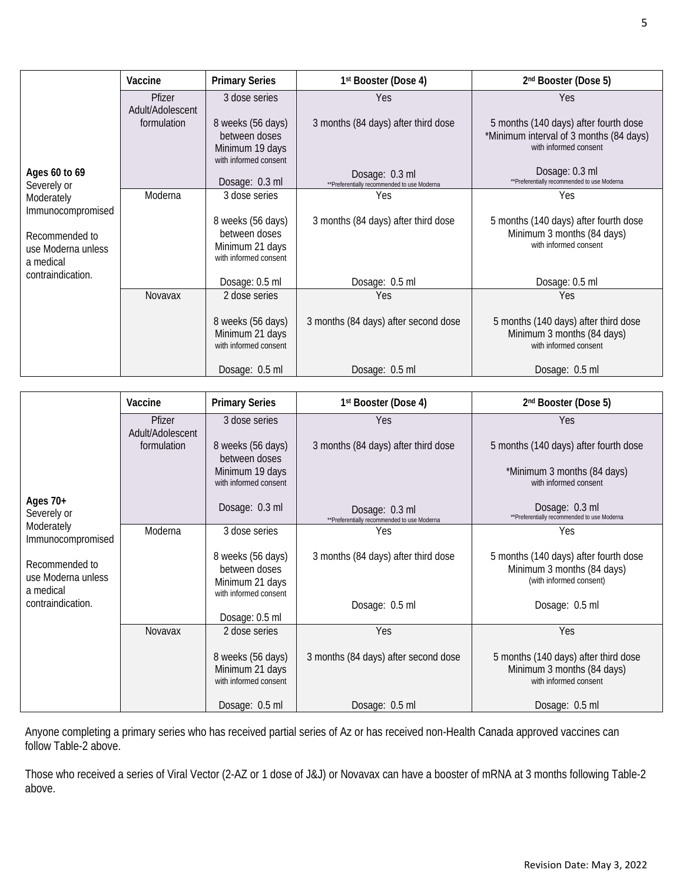|                                                                        | Vaccine                    | <b>Primary Series</b>                                                          | 1st Booster (Dose 4)                                           | 2nd Booster (Dose 5)                                                                                      |
|------------------------------------------------------------------------|----------------------------|--------------------------------------------------------------------------------|----------------------------------------------------------------|-----------------------------------------------------------------------------------------------------------|
|                                                                        | Pfizer<br>Adult/Adolescent | 3 dose series                                                                  | Yes                                                            | Yes                                                                                                       |
|                                                                        | formulation                | 8 weeks (56 days)<br>between doses<br>Minimum 19 days<br>with informed consent | 3 months (84 days) after third dose                            | 5 months (140 days) after fourth dose<br>*Minimum interval of 3 months (84 days)<br>with informed consent |
| Ages 60 to 69<br>Severely or                                           |                            | Dosage: 0.3 ml                                                                 | Dosage: 0.3 ml<br>** Preferentially recommended to use Moderna | Dosage: 0.3 ml<br>** Preferentially recommended to use Moderna                                            |
| Moderately                                                             | Moderna                    | 3 dose series                                                                  | Yes                                                            | Yes                                                                                                       |
| Immunocompromised<br>Recommended to<br>use Moderna unless<br>a medical |                            | 8 weeks (56 days)<br>between doses<br>Minimum 21 days<br>with informed consent | 3 months (84 days) after third dose                            | 5 months (140 days) after fourth dose<br>Minimum 3 months (84 days)<br>with informed consent              |
| contraindication.                                                      |                            | Dosage: 0.5 ml                                                                 | Dosage: 0.5 ml                                                 | Dosage: 0.5 ml                                                                                            |
|                                                                        | <b>Novavax</b>             | 2 dose series                                                                  | Yes                                                            | Yes                                                                                                       |
|                                                                        |                            | 8 weeks (56 days)<br>Minimum 21 days<br>with informed consent                  | 3 months (84 days) after second dose                           | 5 months (140 days) after third dose<br>Minimum 3 months (84 days)<br>with informed consent               |
|                                                                        |                            | Dosage: 0.5 ml                                                                 | Dosage: 0.5 ml                                                 | Dosage: 0.5 ml                                                                                            |

|                                                   | Vaccine                    | <b>Primary Series</b>                                                          | 1st Booster (Dose 4)                                           | 2nd Booster (Dose 5)                                                                           |
|---------------------------------------------------|----------------------------|--------------------------------------------------------------------------------|----------------------------------------------------------------|------------------------------------------------------------------------------------------------|
|                                                   | Pfizer<br>Adult/Adolescent | 3 dose series                                                                  | Yes                                                            | Yes                                                                                            |
|                                                   | formulation                | 8 weeks (56 days)<br>between doses                                             | 3 months (84 days) after third dose                            | 5 months (140 days) after fourth dose                                                          |
|                                                   |                            | Minimum 19 days<br>with informed consent                                       |                                                                | *Minimum 3 months (84 days)<br>with informed consent                                           |
| Ages $70+$<br>Severely or                         |                            | Dosage: 0.3 ml                                                                 | Dosage: 0.3 ml<br>** Preferentially recommended to use Moderna | Dosage: 0.3 ml<br>** Preferentially recommended to use Moderna                                 |
| Moderately<br>Immunocompromised                   | Moderna                    | 3 dose series                                                                  | Yes                                                            | Yes                                                                                            |
| Recommended to<br>use Moderna unless<br>a medical |                            | 8 weeks (56 days)<br>between doses<br>Minimum 21 days<br>with informed consent | 3 months (84 days) after third dose                            | 5 months (140 days) after fourth dose<br>Minimum 3 months (84 days)<br>(with informed consent) |
| contraindication.                                 |                            | Dosage: 0.5 ml                                                                 | Dosage: 0.5 ml                                                 | Dosage: 0.5 ml                                                                                 |
|                                                   | Novavax                    | 2 dose series                                                                  | Yes                                                            | Yes                                                                                            |
|                                                   |                            | 8 weeks (56 days)<br>Minimum 21 days<br>with informed consent                  | 3 months (84 days) after second dose                           | 5 months (140 days) after third dose<br>Minimum 3 months (84 days)<br>with informed consent    |
|                                                   |                            | Dosage: 0.5 ml                                                                 | Dosage: 0.5 ml                                                 | Dosage: 0.5 ml                                                                                 |

Anyone completing a primary series who has received partial series of Az or has received non-Health Canada approved vaccines can follow Table-2 above.

Those who received a series of Viral Vector (2-AZ or 1 dose of J&J) or Novavax can have a booster of mRNA at 3 months following Table-2 above.